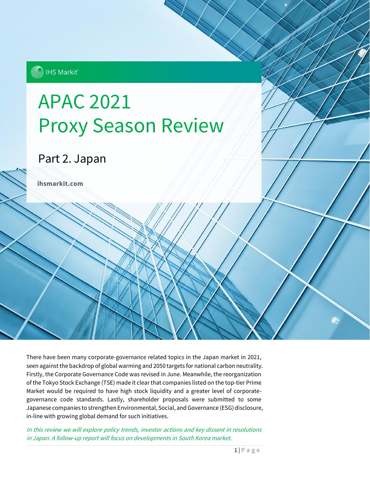

# APAC 2021 Proxy Season Review

## Part 2. Japan

**ihsmarkit.com**

There have been many corporate-governance related topics in the Japan market in 2021, seen against the backdrop of global warming and 2050 targets for national carbon neutrality. Firstly, the Corporate Governance Code was revised in June. Meanwhile, the reorganization of the Tokyo Stock Exchange (TSE) made it clear that companies listed on the top-tier Prime Market would be required to have high stock liquidity and a greater level of corporategovernance code standards. Lastly, shareholder proposals were submitted to some Japanese companies to strengthen Environmental, Social, and Governance (ESG) disclosure, in-line with growing global demand for such initiatives.

In this review we will explore policy trends, investor actions and key dissent in resolutions in Japan. A follow-up report will focus on developments in South Korea market.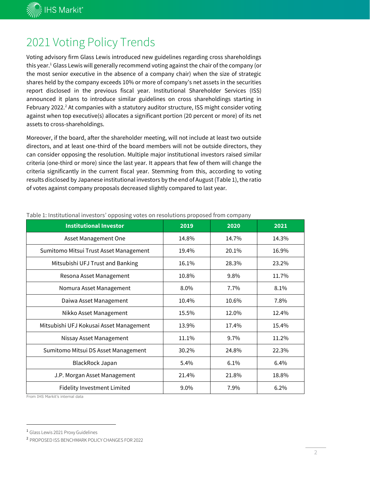**IK IHS Markit**®

### 2021 Voting Policy Trends

Voting advisory firm Glass Lewis introduced new guidelines regarding cross shareholdings this year.<sup>1</sup> Glass Lewis will generally recommend voting against the chair of the company (or the most senior executive in the absence of a company chair) when the size of strategic shares held by the company exceeds 10% or more of company's net assets in the securities report disclosed in the previous fiscal year. Institutional Shareholder Services (ISS) announced it plans to introduce similar guidelines on cross shareholdings starting in February 2022.<sup>2</sup> At companies with a statutory auditor structure, ISS might consider voting against when top executive(s) allocates a significant portion (20 percent or more) of its net assets to cross-shareholdings.

Moreover, if the board, after the shareholder meeting, will not include at least two outside directors, and at least one-third of the board members will not be outside directors, they can consider opposing the resolution. Multiple major institutional investors raised similar criteria (one-third or more) since the last year. It appears that few of them will change the criteria significantly in the current fiscal year. Stemming from this, according to voting results disclosed by Japanese institutional investors by the end of August (Table 1), the ratio of votes against company proposals decreased slightly compared to last year.

| <b>Institutional Investor</b>           | 2019  | 2020  | 2021  |
|-----------------------------------------|-------|-------|-------|
| <b>Asset Management One</b>             | 14.8% | 14.7% | 14.3% |
| Sumitomo Mitsui Trust Asset Management  | 19.4% | 20.1% | 16.9% |
| Mitsubishi UFJ Trust and Banking        | 16.1% | 28.3% | 23.2% |
| Resona Asset Management                 | 10.8% | 9.8%  | 11.7% |
| Nomura Asset Management                 | 8.0%  | 7.7%  | 8.1%  |
| Daiwa Asset Management                  | 10.4% | 10.6% | 7.8%  |
| Nikko Asset Management                  | 15.5% | 12.0% | 12.4% |
| Mitsubishi UFJ Kokusai Asset Management | 13.9% | 17.4% | 15.4% |
| Nissay Asset Management                 | 11.1% | 9.7%  | 11.2% |
| Sumitomo Mitsui DS Asset Management     | 30.2% | 24.8% | 22.3% |
| <b>BlackRock Japan</b>                  | 5.4%  | 6.1%  | 6.4%  |
| J.P. Morgan Asset Management            | 21.4% | 21.8% | 18.8% |
| <b>Fidelity Investment Limited</b>      | 9.0%  | 7.9%  | 6.2%  |

Table 1: Institutional investors' opposing votes on resolutions proposed from company

From IHS Markit's internal data

<sup>1</sup> Glass Lewis 2021 Proxy Guidelines

<sup>2</sup> PROPOSED ISS BENCHMARK POLICY CHANGES FOR 2022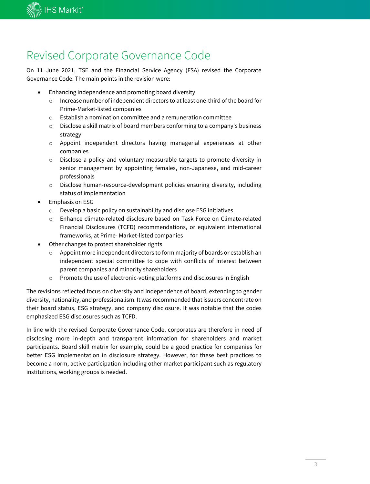

### Revised Corporate Governance Code

On 11 June 2021, TSE and the Financial Service Agency (FSA) revised the Corporate Governance Code. The main points in the revision were:

- Enhancing independence and promoting board diversity
	- o Increase number of independent directors to at least one-third of the board for Prime-Market-listed companies
	- $\circ$  Establish a nomination committee and a remuneration committee
	- o Disclose a skill matrix of board members conforming to a company's business strategy
	- o Appoint independent directors having managerial experiences at other companies
	- o Disclose a policy and voluntary measurable targets to promote diversity in senior management by appointing females, non-Japanese, and mid-career professionals
	- o Disclose human-resource-development policies ensuring diversity, including status of implementation
- Emphasis on ESG
	- o Develop a basic policy on sustainability and disclose ESG initiatives
	- o Enhance climate-related disclosure based on Task Force on Climate-related Financial Disclosures (TCFD) recommendations, or equivalent international frameworks, at Prime- Market-listed companies
- Other changes to protect shareholder rights
	- o Appoint more independent directors to form majority of boards or establish an independent special committee to cope with conflicts of interest between parent companies and minority shareholders
	- o Promote the use of electronic-voting platforms and disclosures in English

The revisions reflected focus on diversity and independence of board, extending to gender diversity, nationality, and professionalism. It was recommended that issuers concentrate on their board status, ESG strategy, and company disclosure. It was notable that the codes emphasized ESG disclosures such as TCFD.

In line with the revised Corporate Governance Code, corporates are therefore in need of disclosing more in-depth and transparent information for shareholders and market participants. Board skill matrix for example, could be a good practice for companies for better ESG implementation in disclosure strategy. However, for these best practices to become a norm, active participation including other market participant such as regulatory institutions, working groups is needed.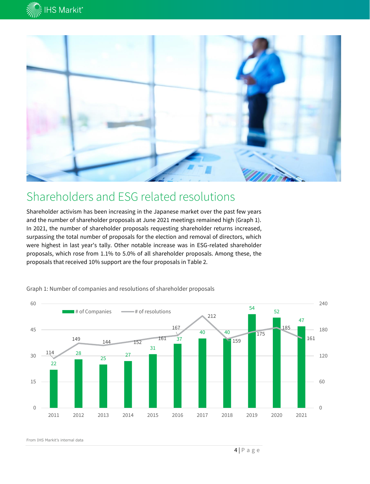



#### Shareholders and ESG related resolutions

Shareholder activism has been increasing in the Japanese market over the past few years and the number of shareholder proposals at June 2021 meetings remained high (Graph 1). In 2021, the number of shareholder proposals requesting shareholder returns increased, surpassing the total number of proposals for the election and removal of directors, which were highest in last year's tally. Other notable increase was in ESG-related shareholder proposals, which rose from 1.1% to 5.0% of all shareholder proposals. Among these, the proposals that received 10% support are the four proposals in Table 2.



Graph 1: Number of companies and resolutions of shareholder proposals

From IHS Markit's internal data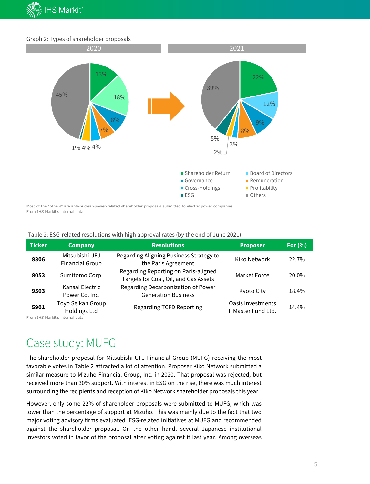

#### Graph 2: Types of shareholder proposals



Most of the "others" are anti-nuclear-power-related shareholder proposals submitted to electric power companies. From IHS Markit's internal data

| Table 2: ESG-related resolutions with high approval rates (by the end of June 2021) |
|-------------------------------------------------------------------------------------|
|                                                                                     |

| <b>Ticker</b> | <b>Company</b>                           | <b>Resolutions</b>                                                            | <b>Proposer</b>                          | For $(% )$ |
|---------------|------------------------------------------|-------------------------------------------------------------------------------|------------------------------------------|------------|
| 8306          | Mitsubishi UFJ<br><b>Financial Group</b> | Regarding Aligning Business Strategy to<br>the Paris Agreement                | Kiko Network                             | 22.7%      |
| 8053          | Sumitomo Corp.                           | Regarding Reporting on Paris-aligned<br>Targets for Coal, Oil, and Gas Assets | Market Force                             | 20.0%      |
| 9503          | Kansai Electric<br>Power Co. Inc.        | Regarding Decarbonization of Power<br><b>Generation Business</b>              | Kyoto City                               | 18.4%      |
| 5901          | Toyo Seikan Group<br>Holdings Ltd        | <b>Regarding TCFD Reporting</b>                                               | Oasis Investments<br>II Master Fund Ltd. | 14.4%      |

From IHS Markit's internal data

### Case study: MUFG

The shareholder proposal for Mitsubishi UFJ Financial Group (MUFG) receiving the most favorable votes in Table 2 attracted a lot of attention. Proposer Kiko Network submitted a similar measure to Mizuho Financial Group, Inc. in 2020. That proposal was rejected, but received more than 30% support. With interest in ESG on the rise, there was much interest surrounding the recipients and reception of Kiko Network shareholder proposals this year.

However, only some 22% of shareholder proposals were submitted to MUFG, which was lower than the percentage of support at Mizuho. This was mainly due to the fact that two major voting advisory firms evaluated ESG-related initiatives at MUFG and recommended against the shareholder proposal. On the other hand, several Japanese institutional investors voted in favor of the proposal after voting against it last year. Among overseas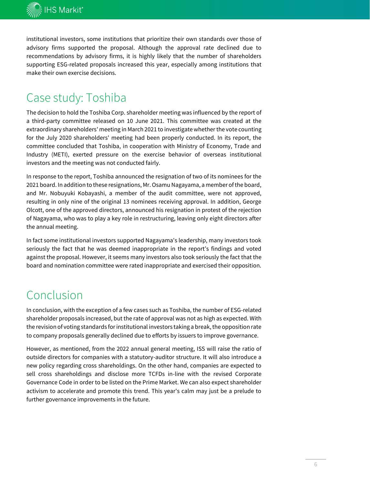

institutional investors, some institutions that prioritize their own standards over those of advisory firms supported the proposal. Although the approval rate declined due to recommendations by advisory firms, it is highly likely that the number of shareholders supporting ESG-related proposals increased this year, especially among institutions that make their own exercise decisions.

### Case study: Toshiba

The decision to hold the Toshiba Corp. shareholder meeting was influenced by the report of a third-party committee released on 10 June 2021. This committee was created at the extraordinary shareholders' meeting in March 2021 to investigate whether the vote counting for the July 2020 shareholders' meeting had been properly conducted. In its report, the committee concluded that Toshiba, in cooperation with Ministry of Economy, Trade and Industry (METI), exerted pressure on the exercise behavior of overseas institutional investors and the meeting was not conducted fairly.

In response to the report, Toshiba announced the resignation of two of its nominees for the 2021 board. In addition to these resignations, Mr. Osamu Nagayama, a member of the board, and Mr. Nobuyuki Kobayashi, a member of the audit committee, were not approved, resulting in only nine of the original 13 nominees receiving approval. In addition, George Olcott, one of the approved directors, announced his resignation in protest of the rejection of Nagayama, who was to play a key role in restructuring, leaving only eight directors after the annual meeting.

In fact some institutional investors supported Nagayama's leadership, many investors took seriously the fact that he was deemed inappropriate in the report's findings and voted against the proposal. However, it seems many investors also took seriously the fact that the board and nomination committee were rated inappropriate and exercised their opposition.

### Conclusion

In conclusion, with the exception of a few cases such as Toshiba, the number of ESG-related shareholder proposals increased, but the rate of approval was not as high as expected. With the revision of voting standards for institutional investors taking a break, the opposition rate to company proposals generally declined due to efforts by issuers to improve governance.

However, as mentioned, from the 2022 annual general meeting, ISS will raise the ratio of outside directors for companies with a statutory-auditor structure. It will also introduce a new policy regarding cross shareholdings. On the other hand, companies are expected to sell cross shareholdings and disclose more TCFDs in-line with the revised Corporate Governance Code in order to be listed on the Prime Market. We can also expect shareholder activism to accelerate and promote this trend. This year's calm may just be a prelude to further governance improvements in the future.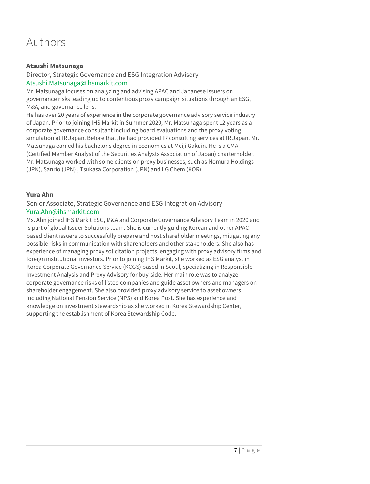### Authors

#### **Atsushi Matsunaga**

Director, Strategic Governance and ESG Integration Advisory [Atsushi.Matsunaga@ihsmarkit.com](mailto:Atsushi.Matsunaga@ihsmarkit.com)

Mr. Matsunaga focuses on analyzing and advising APAC and Japanese issuers on governance risks leading up to contentious proxy campaign situations through an ESG, M&A, and governance lens.

He has over 20 years of experience in the corporate governance advisory service industry of Japan. Prior to joining IHS Markit in Summer 2020, Mr. Matsunaga spent 12 years as a corporate governance consultant including board evaluations and the proxy voting simulation at IR Japan. Before that, he had provided IR consulting services at IR Japan. Mr. Matsunaga earned his bachelor's degree in Economics at Meiji Gakuin. He is a CMA (Certified Member Analyst of the Securities Analysts Association of Japan) charterholder. Mr. Matsunaga worked with some clients on proxy businesses, such as Nomura Holdings (JPN), Sanrio (JPN) , Tsukasa Corporation (JPN) and LG Chem (KOR).

#### **Yura Ahn**

#### Senior Associate, Strategic Governance and ESG Integration Advisory [Yura.Ahn@ihsmarkit.com](mailto:Yura.Ahn@ihsmarkit.com)

Ms. Ahn joined IHS Markit ESG, M&A and Corporate Governance Advisory Team in 2020 and is part of global Issuer Solutions team. She is currently guiding Korean and other APAC based client issuers to successfully prepare and host shareholder meetings, mitigating any possible risks in communication with shareholders and other stakeholders. She also has experience of managing proxy solicitation projects, engaging with proxy advisory firms and foreign institutional investors. Prior to joining IHS Markit, she worked as ESG analyst in Korea Corporate Governance Service (KCGS) based in Seoul, specializing in Responsible Investment Analysis and Proxy Advisory for buy-side. Her main role was to analyze corporate governance risks of listed companies and guide asset owners and managers on shareholder engagement. She also provided proxy advisory service to asset owners including National Pension Service (NPS) and Korea Post. She has experience and knowledge on investment stewardship as she worked in Korea Stewardship Center, supporting the establishment of Korea Stewardship Code.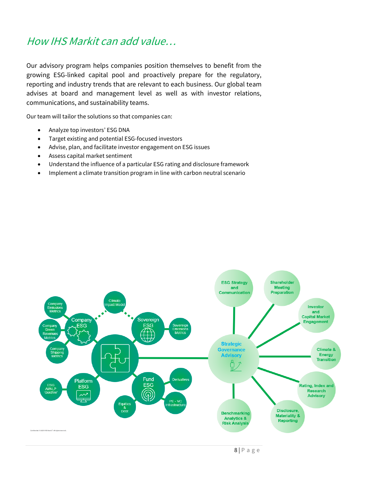#### How IHS Markit can add value…

Our advisory program helps companies position themselves to benefit from the growing ESG-linked capital pool and proactively prepare for the regulatory, reporting and industry trends that are relevant to each business. Our global team advises at board and management level as well as with investor relations, communications, and sustainability teams.

Our team will tailor the solutions so that companies can:

- Analyze top investors' ESG DNA
- Target existing and potential ESG-focused investors
- Advise, plan, and facilitate investor engagement on ESG issues
- Assess capital market sentiment
- Understand the influence of a particular ESG rating and disclosure framework
- Implement a climate transition program in line with carbon neutral scenario